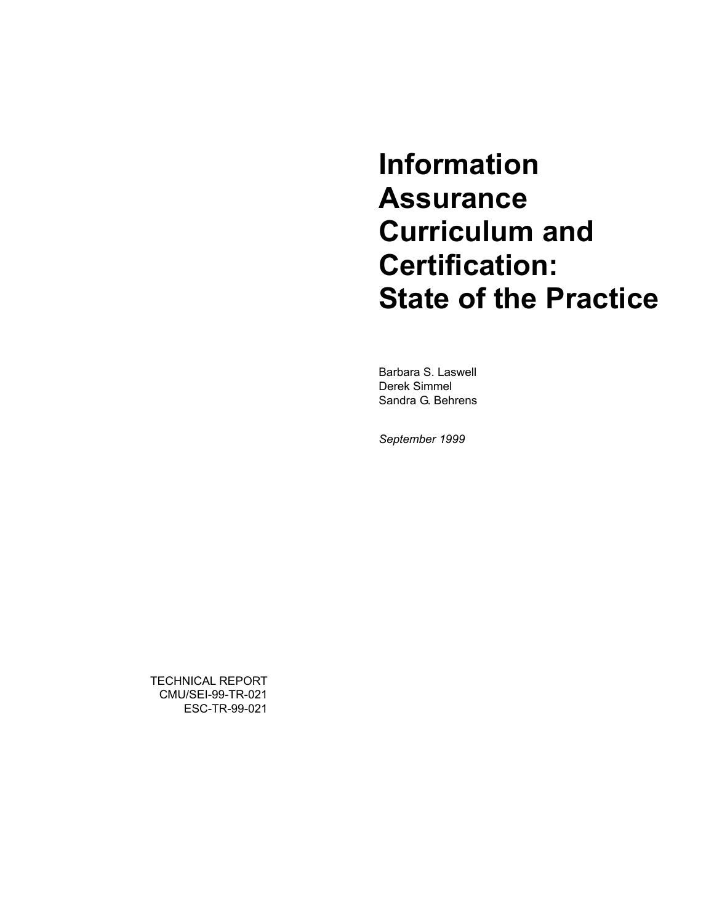# **Information Assurance Curriculum and Certification: State of the Practice**

Barbara S. Laswell Derek Simmel Sandra G. Behrens

*September 1999* 

TECHNICAL REPORT CMU/SEI-99-TR-021 ESC-TR-99-021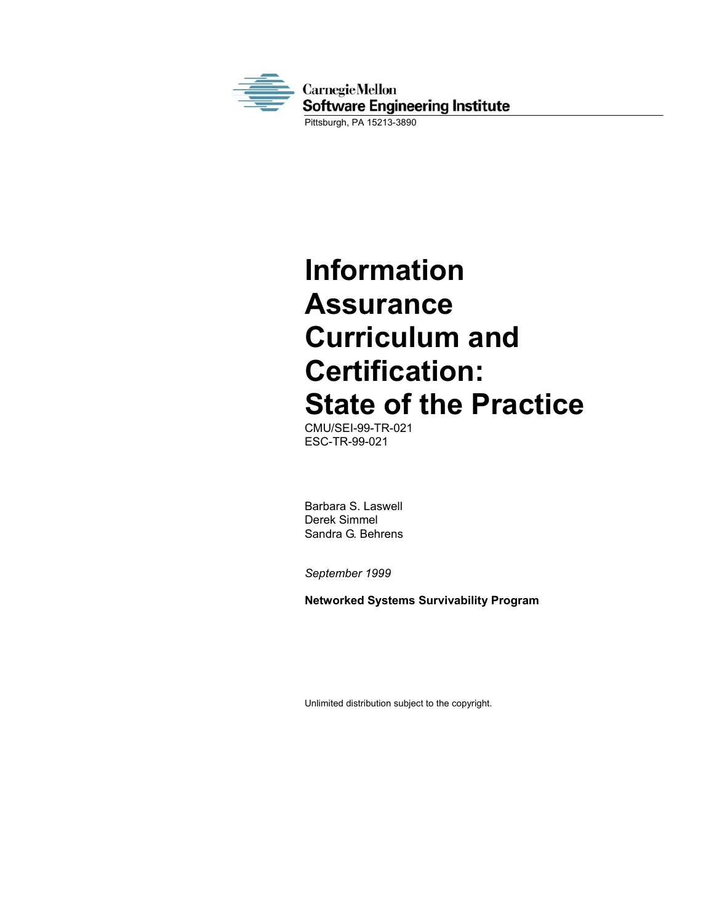

**Information Assurance Curriculum and Certification: State of the Practice** 

CMU/SEI-99-TR-021 ESC-TR-99-021

Barbara S. Laswell Derek Simmel Sandra G. Behrens

*September 1999* 

**Networked Systems Survivability Program** 

Unlimited distribution subject to the copyright.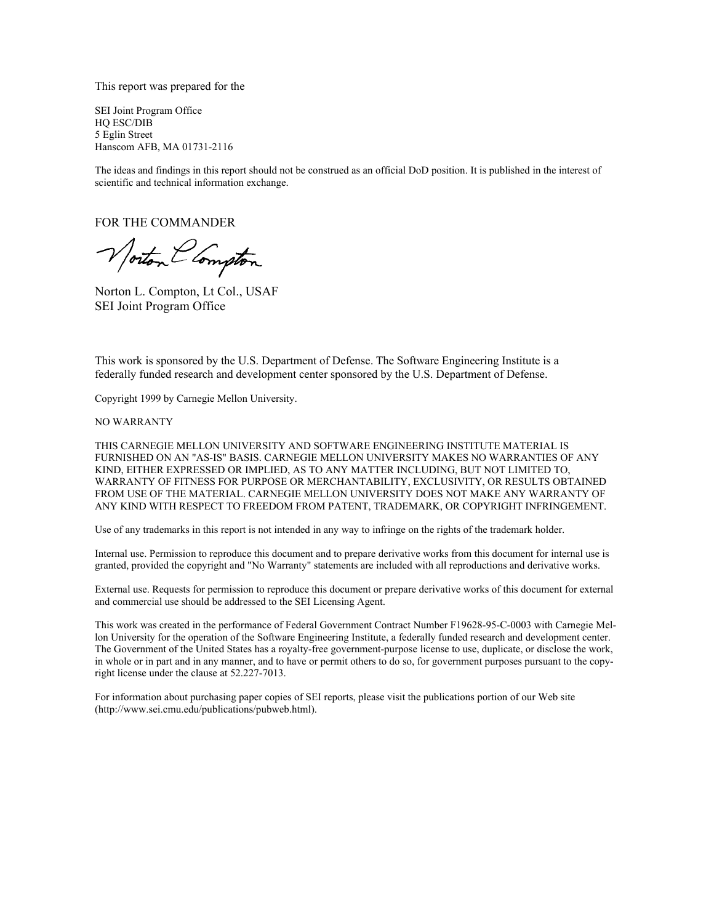This report was prepared for the

SEI Joint Program Office HQ ESC/DIB 5 Eglin Street Hanscom AFB, MA 01731-2116

The ideas and findings in this report should not be construed as an official DoD position. It is published in the interest of scientific and technical information exchange.

FOR THE COMMANDER

Norton Clompton

Norton L. Compton, Lt Col., USAF SEI Joint Program Office

This work is sponsored by the U.S. Department of Defense. The Software Engineering Institute is a federally funded research and development center sponsored by the U.S. Department of Defense.

Copyright 1999 by Carnegie Mellon University.

NO WARRANTY

THIS CARNEGIE MELLON UNIVERSITY AND SOFTWARE ENGINEERING INSTITUTE MATERIAL IS FURNISHED ON AN "AS-IS" BASIS. CARNEGIE MELLON UNIVERSITY MAKES NO WARRANTIES OF ANY KIND, EITHER EXPRESSED OR IMPLIED, AS TO ANY MATTER INCLUDING, BUT NOT LIMITED TO, WARRANTY OF FITNESS FOR PURPOSE OR MERCHANTABILITY, EXCLUSIVITY, OR RESULTS OBTAINED FROM USE OF THE MATERIAL. CARNEGIE MELLON UNIVERSITY DOES NOT MAKE ANY WARRANTY OF ANY KIND WITH RESPECT TO FREEDOM FROM PATENT, TRADEMARK, OR COPYRIGHT INFRINGEMENT.

Use of any trademarks in this report is not intended in any way to infringe on the rights of the trademark holder.

Internal use. Permission to reproduce this document and to prepare derivative works from this document for internal use is granted, provided the copyright and "No Warranty" statements are included with all reproductions and derivative works.

External use. Requests for permission to reproduce this document or prepare derivative works of this document for external and commercial use should be addressed to the SEI Licensing Agent.

This work was created in the performance of Federal Government Contract Number F19628-95-C-0003 with Carnegie Mellon University for the operation of the Software Engineering Institute, a federally funded research and development center. The Government of the United States has a royalty-free government-purpose license to use, duplicate, or disclose the work, in whole or in part and in any manner, and to have or permit others to do so, for government purposes pursuant to the copyright license under the clause at 52.227-7013.

For information about purchasing paper copies of SEI reports, please visit the publications portion of our Web site (http://www.sei.cmu.edu/publications/pubweb.html).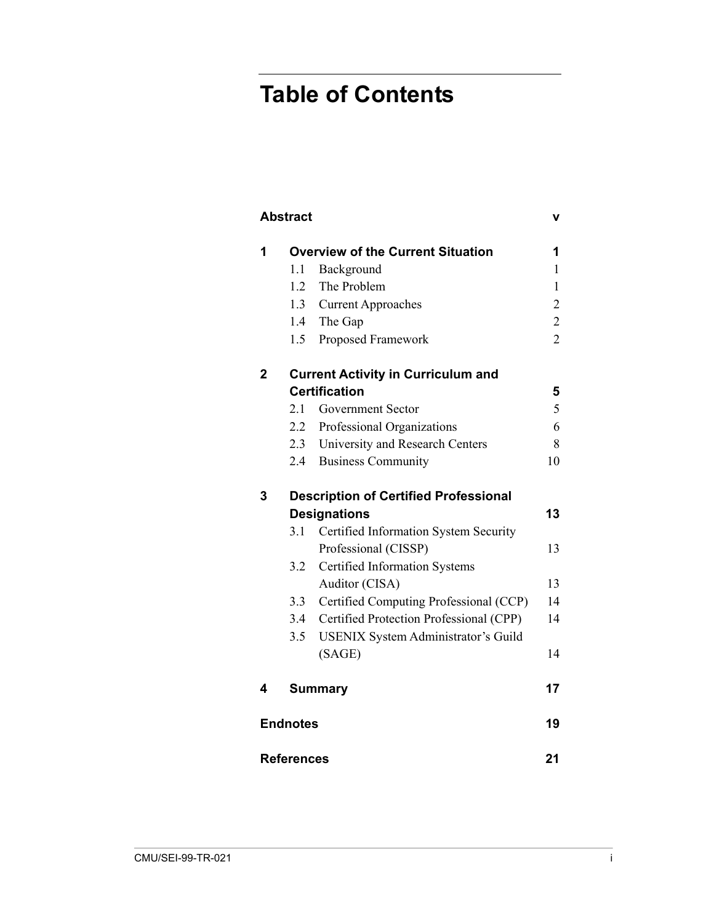# **Table of Contents**

|                | <b>Abstract</b>    |                                              |                |  |  |  |  |
|----------------|--------------------|----------------------------------------------|----------------|--|--|--|--|
| 1              |                    | <b>Overview of the Current Situation</b>     | 1              |  |  |  |  |
|                | 1.1                | Background                                   | $\mathbf{1}$   |  |  |  |  |
|                | 1.2<br>The Problem |                                              |                |  |  |  |  |
|                | 1.3                | <b>Current Approaches</b>                    | $\overline{2}$ |  |  |  |  |
|                |                    | 1.4 The Gap                                  | $\overline{2}$ |  |  |  |  |
|                | 1.5                | Proposed Framework                           | $\overline{2}$ |  |  |  |  |
| $\overline{2}$ |                    | <b>Current Activity in Curriculum and</b>    |                |  |  |  |  |
|                |                    | <b>Certification</b>                         | 5              |  |  |  |  |
|                | 2.1                | <b>Government Sector</b>                     | 5              |  |  |  |  |
|                | $2.2^{\circ}$      | Professional Organizations                   | 6              |  |  |  |  |
|                |                    | 2.3 University and Research Centers          | 8              |  |  |  |  |
|                |                    | 2.4 Business Community                       | 10             |  |  |  |  |
| 3              |                    | <b>Description of Certified Professional</b> |                |  |  |  |  |
|                |                    | <b>Designations</b>                          | 13             |  |  |  |  |
|                | 3.1                | Certified Information System Security        |                |  |  |  |  |
|                |                    | Professional (CISSP)                         | 13             |  |  |  |  |
|                | 3.2                | Certified Information Systems                |                |  |  |  |  |
|                |                    | Auditor (CISA)                               | 13             |  |  |  |  |
|                | 3.3                | Certified Computing Professional (CCP)       | 14             |  |  |  |  |
|                |                    | 3.4 Certified Protection Professional (CPP)  | 14             |  |  |  |  |
|                | 3.5                | USENIX System Administrator's Guild          |                |  |  |  |  |
|                |                    | (SAGE)                                       | 14             |  |  |  |  |
| 4              |                    | <b>Summary</b>                               | 17             |  |  |  |  |
|                | <b>Endnotes</b>    |                                              | 19             |  |  |  |  |
|                | <b>References</b>  |                                              | 21             |  |  |  |  |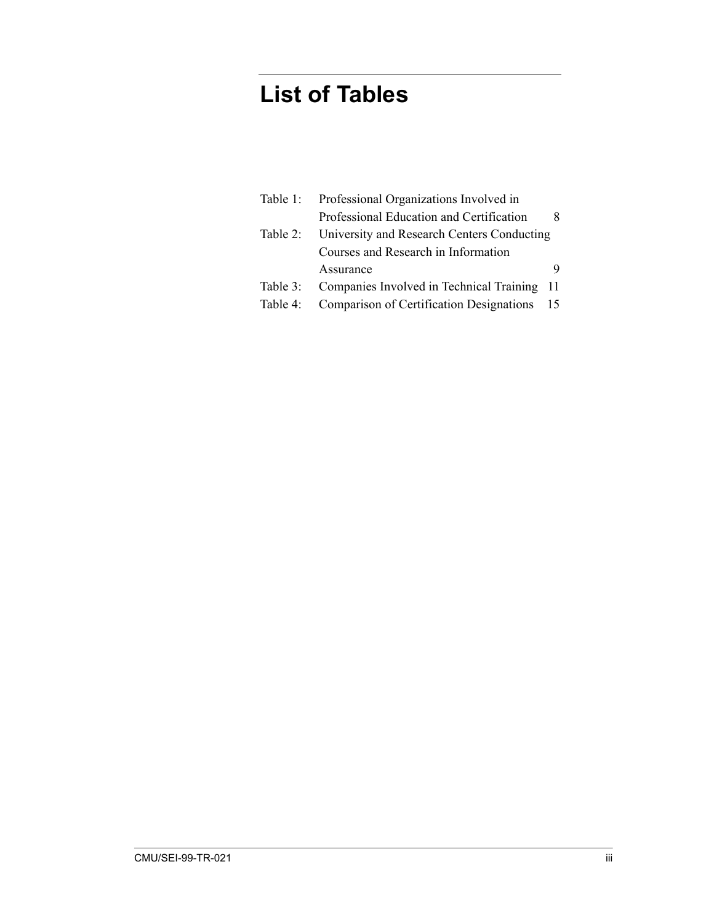# **List of Tables**

| Table 1: | Professional Organizations Involved in          |     |
|----------|-------------------------------------------------|-----|
|          | Professional Education and Certification        |     |
| Table 2: | University and Research Centers Conducting      |     |
|          | Courses and Research in Information             |     |
|          | Assurance                                       | 9   |
| Table 3: | Companies Involved in Technical Training        | -11 |
| Table 4: | <b>Comparison of Certification Designations</b> | 15  |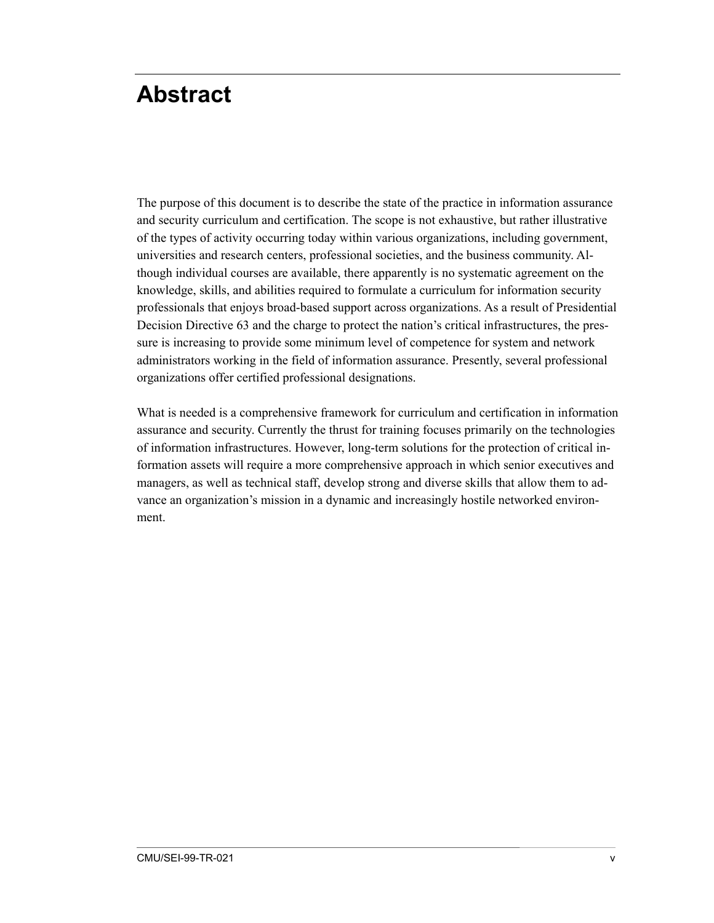# <span id="page-8-0"></span>**Abstract**

The purpose of this document is to describe the state of the practice in information assurance and security curriculum and certification. The scope is not exhaustive, but rather illustrative of the types of activity occurring today within various organizations, including government, universities and research centers, professional societies, and the business community. Although individual courses are available, there apparently is no systematic agreement on the knowledge, skills, and abilities required to formulate a curriculum for information security professionals that enjoys broad-based support across organizations. As a result of Presidential Decision Directive 63 and the charge to protect the nation's critical infrastructures, the pressure is increasing to provide some minimum level of competence for system and network administrators working in the field of information assurance. Presently, several professional organizations offer certified professional designations.

What is needed is a comprehensive framework for curriculum and certification in information assurance and security. Currently the thrust for training focuses primarily on the technologies of information infrastructures. However, long-term solutions for the protection of critical information assets will require a more comprehensive approach in which senior executives and managers, as well as technical staff, develop strong and diverse skills that allow them to advance an organization's mission in a dynamic and increasingly hostile networked environment.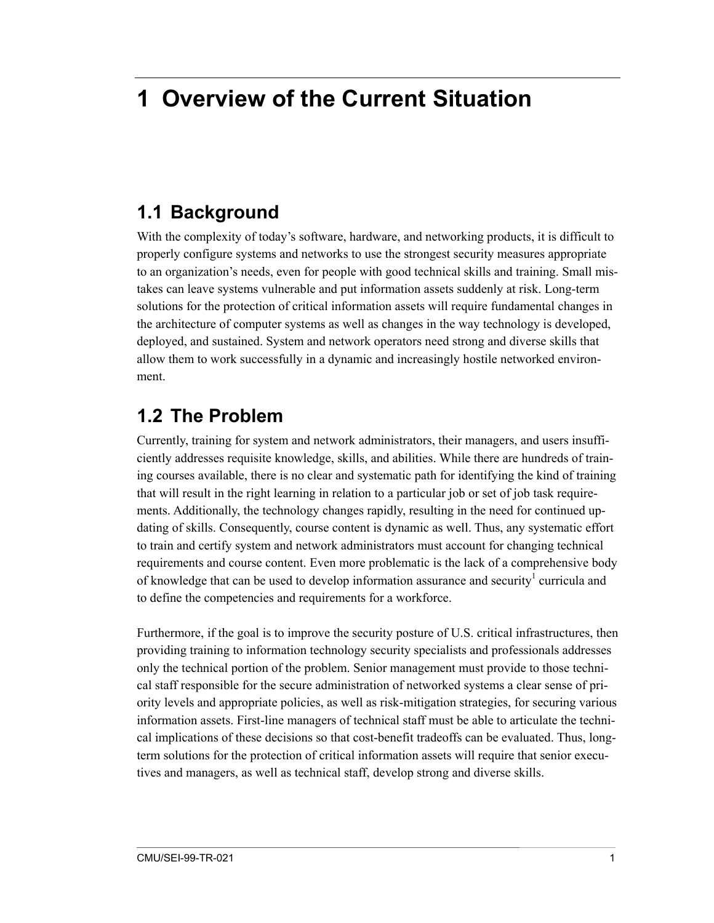# <span id="page-10-0"></span>**1 Overview of the Current Situation**

### **1.1 Background**

With the complexity of today's software, hardware, and networking products, it is difficult to properly configure systems and networks to use the strongest security measures appropriate to an organization's needs, even for people with good technical skills and training. Small mistakes can leave systems vulnerable and put information assets suddenly at risk. Long-term solutions for the protection of critical information assets will require fundamental changes in the architecture of computer systems as well as changes in the way technology is developed, deployed, and sustained. System and network operators need strong and diverse skills that allow them to work successfully in a dynamic and increasingly hostile networked environment.

### **1.2 The Problem**

Currently, training for system and network administrators, their managers, and users insufficiently addresses requisite knowledge, skills, and abilities. While there are hundreds of training courses available, there is no clear and systematic path for identifying the kind of training that will result in the right learning in relation to a particular job or set of job task requirements. Additionally, the technology changes rapidly, resulting in the need for continued updating of skills. Consequently, course content is dynamic as well. Thus, any systematic effort to train and certify system and network administrators must account for changing technical requirements and course content. Even more problematic is the lack of a comprehensive body of knowledge that can be used to develop information assurance and security<sup>1</sup> curricula and to define the competencies and requirements for a workforce.

Furthermore, if the goal is to improve the security posture of U.S. critical infrastructures, then providing training to information technology security specialists and professionals addresses only the technical portion of the problem. Senior management must provide to those technical staff responsible for the secure administration of networked systems a clear sense of priority levels and appropriate policies, as well as risk-mitigation strategies, for securing various information assets. First-line managers of technical staff must be able to articulate the technical implications of these decisions so that cost-benefit tradeoffs can be evaluated. Thus, longterm solutions for the protection of critical information assets will require that senior executives and managers, as well as technical staff, develop strong and diverse skills.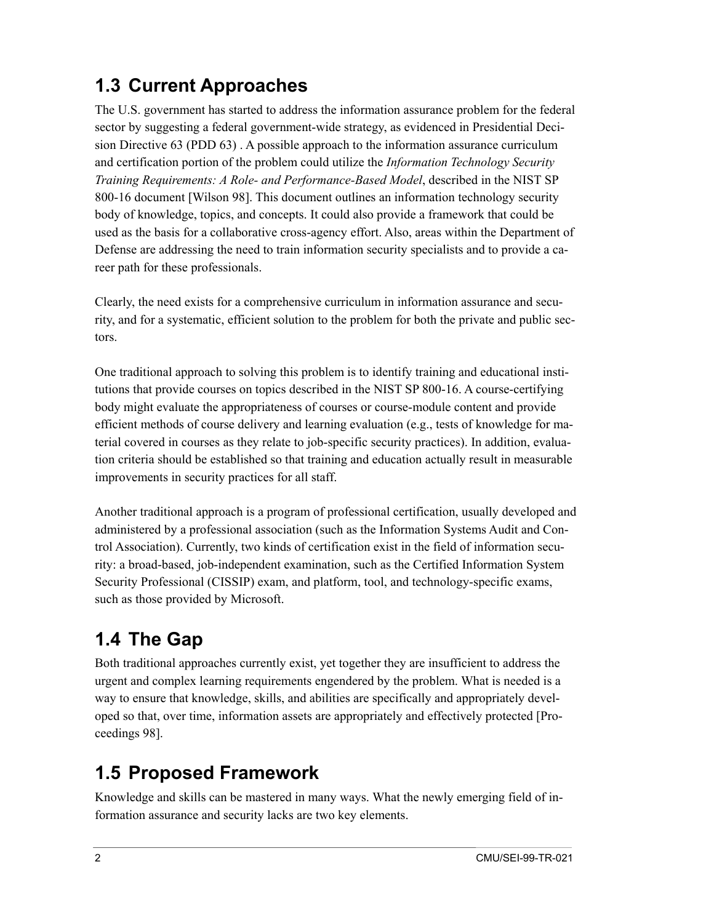## <span id="page-11-0"></span>**1.3 Current Approaches**

The U.S. government has started to address the information assurance problem for the federal sector by suggesting a federal government-wide strategy, as evidenced in Presidential Decision Directive 63 (PDD 63) . A possible approach to the information assurance curriculum and certification portion of the problem could utilize the *Information Technology Security Training Requirements: A Role- and Performance-Based Model*, described in the NIST SP 800-16 document [Wilson 98]. This document outlines an information technology security body of knowledge, topics, and concepts. It could also provide a framework that could be used as the basis for a collaborative cross-agency effort. Also, areas within the Department of Defense are addressing the need to train information security specialists and to provide a career path for these professionals.

Clearly, the need exists for a comprehensive curriculum in information assurance and security, and for a systematic, efficient solution to the problem for both the private and public sectors.

One traditional approach to solving this problem is to identify training and educational institutions that provide courses on topics described in the NIST SP 800-16. A course-certifying body might evaluate the appropriateness of courses or course-module content and provide efficient methods of course delivery and learning evaluation (e.g., tests of knowledge for material covered in courses as they relate to job-specific security practices). In addition, evaluation criteria should be established so that training and education actually result in measurable improvements in security practices for all staff.

Another traditional approach is a program of professional certification, usually developed and administered by a professional association (such as the Information Systems Audit and Control Association). Currently, two kinds of certification exist in the field of information security: a broad-based, job-independent examination, such as the Certified Information System Security Professional (CISSIP) exam, and platform, tool, and technology-specific exams, such as those provided by Microsoft.

# **1.4 The Gap**

Both traditional approaches currently exist, yet together they are insufficient to address the urgent and complex learning requirements engendered by the problem. What is needed is a way to ensure that knowledge, skills, and abilities are specifically and appropriately developed so that, over time, information assets are appropriately and effectively protected [Proceedings 98].

## **1.5 Proposed Framework**

Knowledge and skills can be mastered in many ways. What the newly emerging field of information assurance and security lacks are two key elements.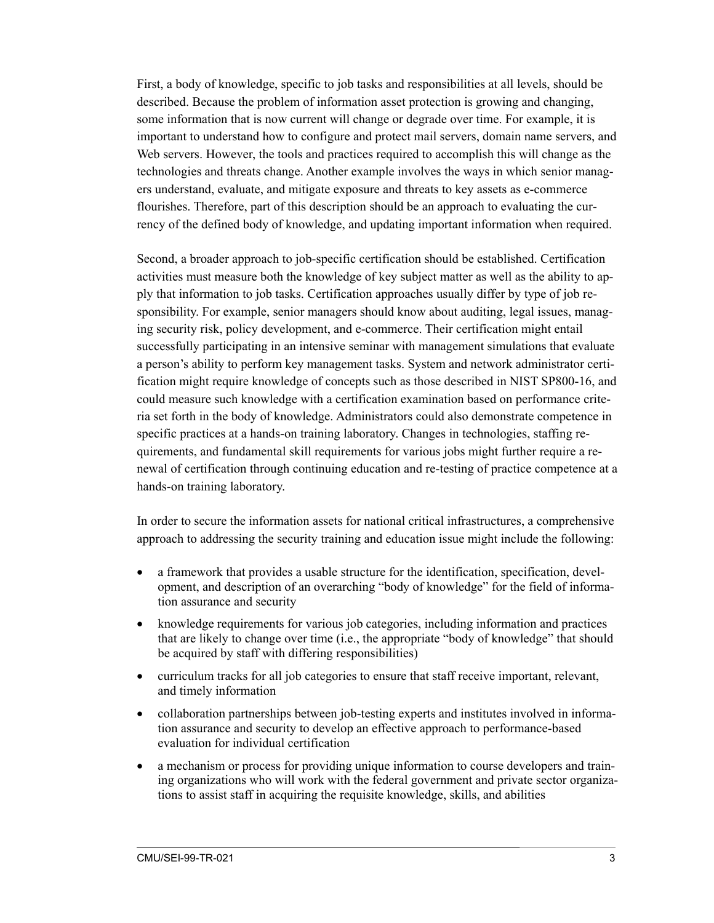First, a body of knowledge, specific to job tasks and responsibilities at all levels, should be described. Because the problem of information asset protection is growing and changing, some information that is now current will change or degrade over time. For example, it is important to understand how to configure and protect mail servers, domain name servers, and Web servers. However, the tools and practices required to accomplish this will change as the technologies and threats change. Another example involves the ways in which senior managers understand, evaluate, and mitigate exposure and threats to key assets as e-commerce flourishes. Therefore, part of this description should be an approach to evaluating the currency of the defined body of knowledge, and updating important information when required.

Second, a broader approach to job-specific certification should be established. Certification activities must measure both the knowledge of key subject matter as well as the ability to apply that information to job tasks. Certification approaches usually differ by type of job responsibility. For example, senior managers should know about auditing, legal issues, managing security risk, policy development, and e-commerce. Their certification might entail successfully participating in an intensive seminar with management simulations that evaluate a person's ability to perform key management tasks. System and network administrator certification might require knowledge of concepts such as those described in NIST SP800-16, and could measure such knowledge with a certification examination based on performance criteria set forth in the body of knowledge. Administrators could also demonstrate competence in specific practices at a hands-on training laboratory. Changes in technologies, staffing requirements, and fundamental skill requirements for various jobs might further require a renewal of certification through continuing education and re-testing of practice competence at a hands-on training laboratory.

In order to secure the information assets for national critical infrastructures, a comprehensive approach to addressing the security training and education issue might include the following:

- a framework that provides a usable structure for the identification, specification, development, and description of an overarching "body of knowledge" for the field of information assurance and security
- knowledge requirements for various job categories, including information and practices that are likely to change over time (i.e., the appropriate "body of knowledge" that should be acquired by staff with differing responsibilities)
- curriculum tracks for all job categories to ensure that staff receive important, relevant, and timely information
- collaboration partnerships between job-testing experts and institutes involved in information assurance and security to develop an effective approach to performance-based evaluation for individual certification
- a mechanism or process for providing unique information to course developers and training organizations who will work with the federal government and private sector organizations to assist staff in acquiring the requisite knowledge, skills, and abilities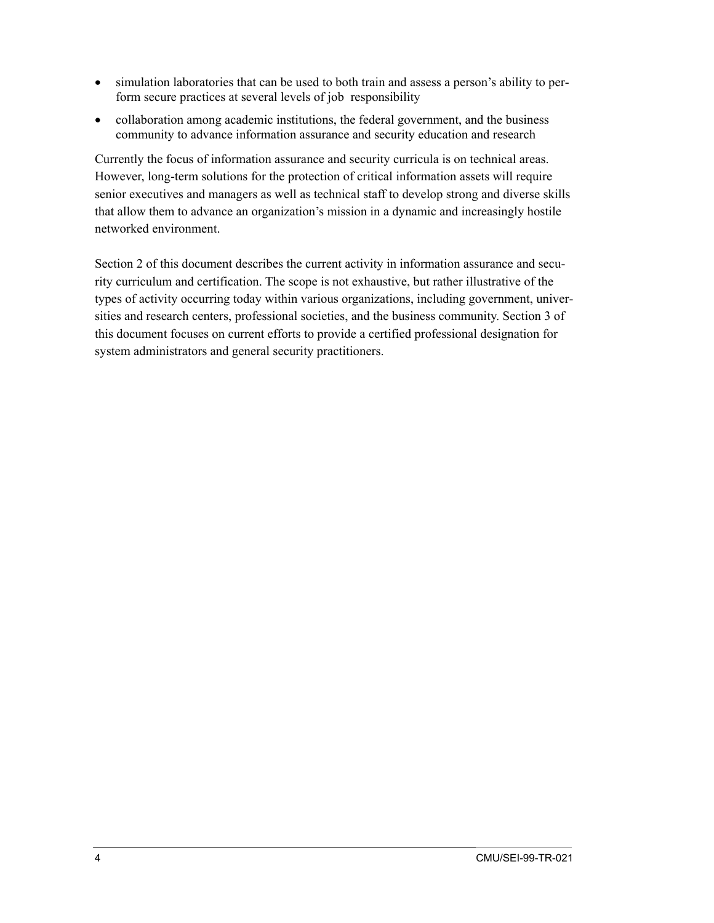- simulation laboratories that can be used to both train and assess a person's ability to perform secure practices at several levels of job responsibility
- collaboration among academic institutions, the federal government, and the business community to advance information assurance and security education and research

Currently the focus of information assurance and security curricula is on technical areas. However, long-term solutions for the protection of critical information assets will require senior executives and managers as well as technical staff to develop strong and diverse skills that allow them to advance an organization's mission in a dynamic and increasingly hostile networked environment.

Section 2 of this document describes the current activity in information assurance and security curriculum and certification. The scope is not exhaustive, but rather illustrative of the types of activity occurring today within various organizations, including government, universities and research centers, professional societies, and the business community. Section 3 of this document focuses on current efforts to provide a certified professional designation for system administrators and general security practitioners.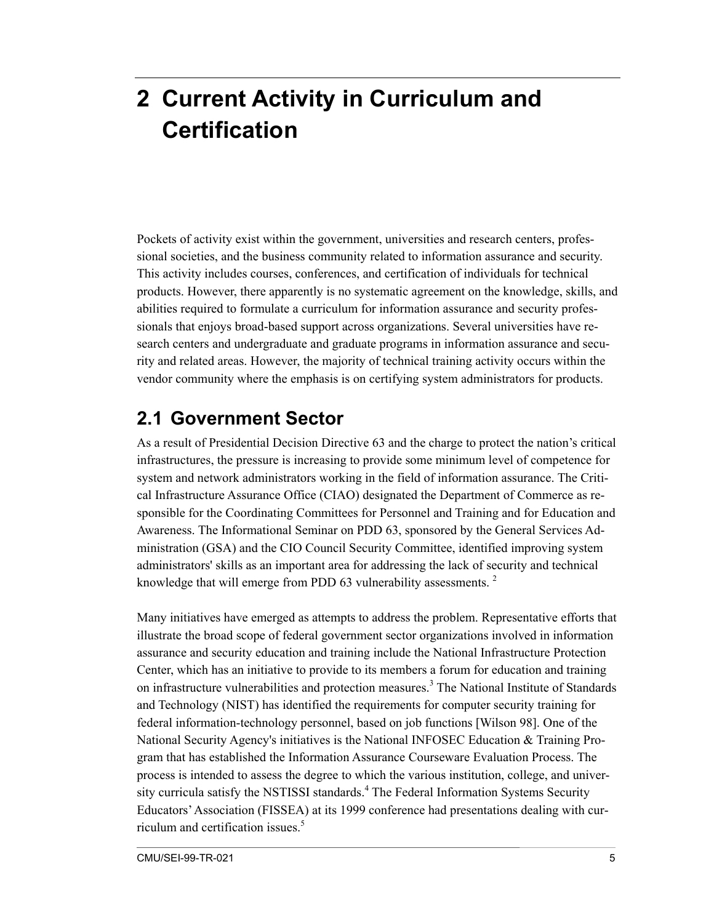# <span id="page-14-0"></span>**2 Current Activity in Curriculum and Certification**

Pockets of activity exist within the government, universities and research centers, professional societies, and the business community related to information assurance and security. This activity includes courses, conferences, and certification of individuals for technical products. However, there apparently is no systematic agreement on the knowledge, skills, and abilities required to formulate a curriculum for information assurance and security professionals that enjoys broad-based support across organizations. Several universities have research centers and undergraduate and graduate programs in information assurance and security and related areas. However, the majority of technical training activity occurs within the vendor community where the emphasis is on certifying system administrators for products.

### **2.1 Government Sector**

As a result of Presidential Decision Directive 63 and the charge to protect the nation's critical infrastructures, the pressure is increasing to provide some minimum level of competence for system and network administrators working in the field of information assurance. The Critical Infrastructure Assurance Office (CIAO) designated the Department of Commerce as responsible for the Coordinating Committees for Personnel and Training and for Education and Awareness. The Informational Seminar on PDD 63, sponsored by the General Services Administration (GSA) and the CIO Council Security Committee, identified improving system administrators' skills as an important area for addressing the lack of security and technical knowledge that will emerge from PDD 63 vulnerability assessments.<sup>2</sup>

Many initiatives have emerged as attempts to address the problem. Representative efforts that illustrate the broad scope of federal government sector organizations involved in information assurance and security education and training include the National Infrastructure Protection Center, which has an initiative to provide to its members a forum for education and training on infrastructure vulnerabilities and protection measures.<sup>[3](#page-30-3)</sup> The National Institute of Standards and Technology (NIST) has identified the requirements for computer security training for federal information-technology personnel, based on job functions [Wilson 98]. One of the National Security Agency's initiatives is the National INFOSEC Education & Training Program that has established the Information Assurance Courseware Evaluation Process. The process is intended to assess the degree to which the various institution, college, and univer-sity curricula satisfy the NSTISSI standards.<sup>[4](#page-30-4)</sup> The Federal Information Systems Security Educators'Association (FISSEA) at its 1999 conference had presentations dealing with cur-riculum and certification issues.<sup>[5](#page-30-5)</sup>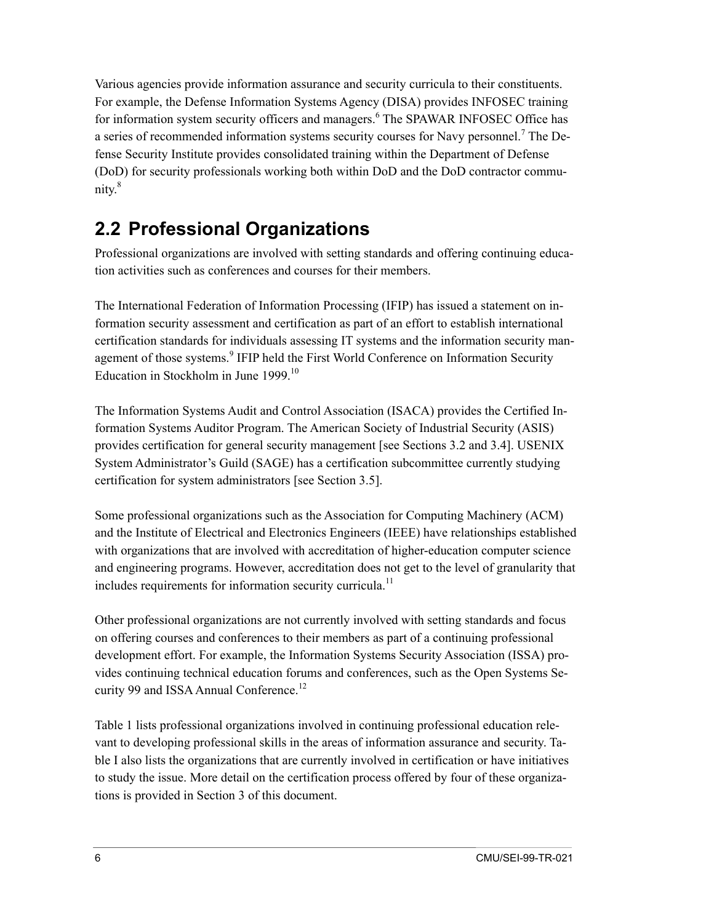<span id="page-15-0"></span>Various agencies provide information assurance and security curricula to their constituents. For example, the Defense Information Systems Agency (DISA) provides INFOSEC training for information system security officers and managers.<sup>[6](#page-30-6)</sup> The SPAWAR INFOSEC Office has a series of recommended information systems security courses for Navy personnel.<sup>[7](#page-30-7)</sup> The Defense Security Institute provides consolidated training within the Department of Defense (DoD) for security professionals working both within DoD and the DoD contractor community. [8](#page-30-8)

## **2.2 Professional Organizations**

Professional organizations are involved with setting standards and offering continuing education activities such as conferences and courses for their members.

The International Federation of Information Processing (IFIP) has issued a statement on information security assessment and certification as part of an effort to establish international certification standards for individuals assessing IT systems and the information security man-agement of those systems.<sup>[9](#page-30-9)</sup> IFIP held the First World Conference on Information Security Education in Stockholm in June 1999.<sup>10</sup>

The Information Systems Audit and Control Association (ISACA) provides the Certified Information Systems Auditor Program. The American Society of Industrial Security (ASIS) provides certification for general security management [see Sections 3.2 and 3.4]. USENIX System Administrator's Guild (SAGE) has a certification subcommittee currently studying certification for system administrators [see Section 3.5].

Some professional organizations such as the Association for Computing Machinery (ACM) and the Institute of Electrical and Electronics Engineers (IEEE) have relationships established with organizations that are involved with accreditation of higher-education computer science and engineering programs. However, accreditation does not get to the level of granularity that includes requirements for information security curricula.<sup>11</sup>

Other professional organizations are not currently involved with setting standards and focus on offering courses and conferences to their members as part of a continuing professional development effort. For example, the Information Systems Security Association (ISSA) provides continuing technical education forums and conferences, such as the Open Systems Se-curity 99 and ISSA Annual Conference.<sup>[12](#page-30-12)</sup>

Table 1 lists professional organizations involved in continuing professional education relevant to developing professional skills in the areas of information assurance and security. Table I also lists the organizations that are currently involved in certification or have initiatives to study the issue. More detail on the certification process offered by four of these organizations is provided in Section 3 of this document.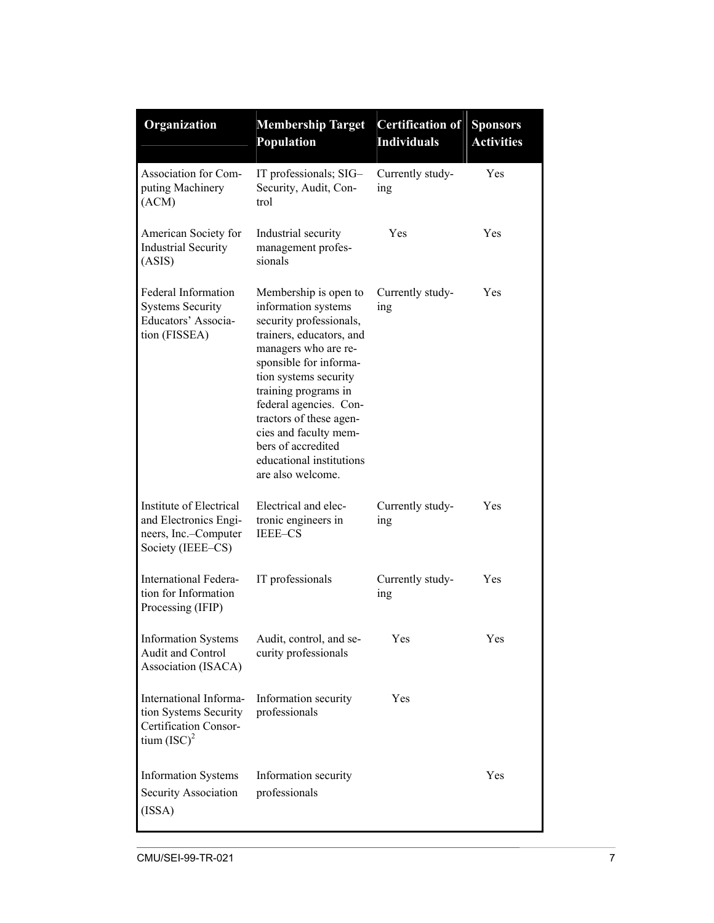| Organization                                                                                  | <b>Membership Target</b><br><b>Population</b>                                                                                                                                                                                                                                                                                                               | <b>Certification of</b><br><b>Individuals</b> | <b>Sponsors</b><br><b>Activities</b> |
|-----------------------------------------------------------------------------------------------|-------------------------------------------------------------------------------------------------------------------------------------------------------------------------------------------------------------------------------------------------------------------------------------------------------------------------------------------------------------|-----------------------------------------------|--------------------------------------|
| Association for Com-<br>puting Machinery<br>(ACM)                                             | IT professionals; SIG-<br>Security, Audit, Con-<br>trol                                                                                                                                                                                                                                                                                                     | Currently study-<br>ing                       | Yes                                  |
| American Society for<br><b>Industrial Security</b><br>(ASIS)                                  | Industrial security<br>management profes-<br>sionals                                                                                                                                                                                                                                                                                                        | Yes                                           | Yes                                  |
| <b>Federal Information</b><br><b>Systems Security</b><br>Educators' Associa-<br>tion (FISSEA) | Membership is open to<br>information systems<br>security professionals,<br>trainers, educators, and<br>managers who are re-<br>sponsible for informa-<br>tion systems security<br>training programs in<br>federal agencies. Con-<br>tractors of these agen-<br>cies and faculty mem-<br>bers of accredited<br>educational institutions<br>are also welcome. | Currently study-<br>ing                       | Yes                                  |
| Institute of Electrical<br>and Electronics Engi-<br>neers, Inc.-Computer<br>Society (IEEE-CS) | Electrical and elec-<br>tronic engineers in<br><b>IEEE-CS</b>                                                                                                                                                                                                                                                                                               | Currently study-<br>ing                       | Yes                                  |
| <b>International Federa-</b><br>tion for Information<br>Processing (IFIP)                     | IT professionals                                                                                                                                                                                                                                                                                                                                            | Currently study-<br>ing                       | Yes                                  |
| <b>Information Systems</b><br>Audit and Control<br>Association (ISACA)                        | Audit, control, and se-<br>curity professionals                                                                                                                                                                                                                                                                                                             | Yes                                           | Yes                                  |
| International Informa-<br>tion Systems Security<br>Certification Consor-<br>tium $(ISC)^2$    | Information security<br>professionals                                                                                                                                                                                                                                                                                                                       | Yes                                           |                                      |
| <b>Information Systems</b><br>Security Association<br>(ISSA)                                  | Information security<br>professionals                                                                                                                                                                                                                                                                                                                       |                                               | Yes                                  |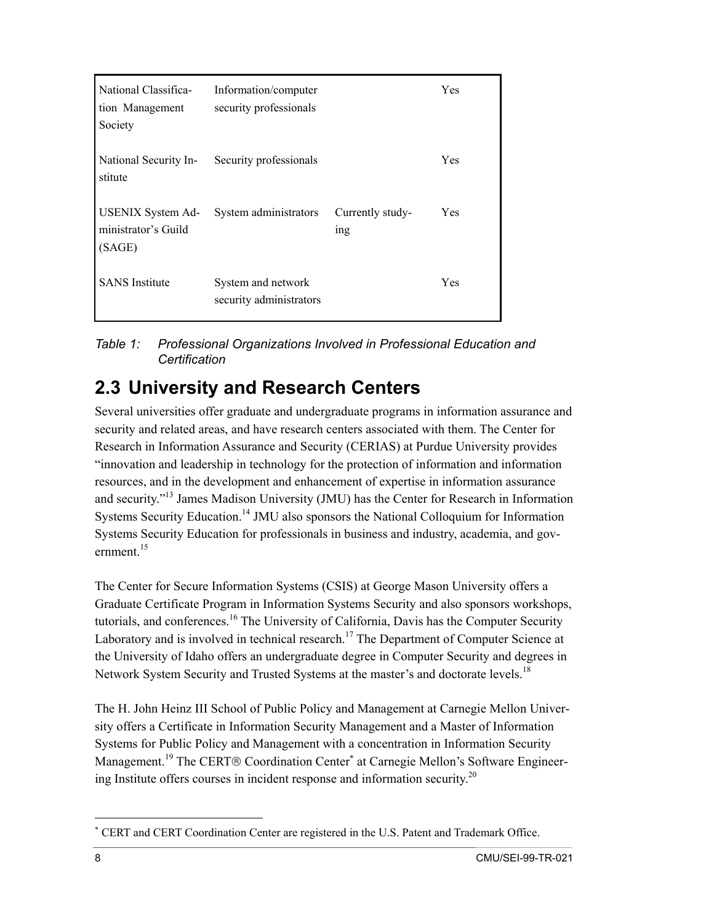<span id="page-17-0"></span>

| National Classifica-<br>tion Management<br>Society        | Information/computer<br>security professionals |                                     | Yes |
|-----------------------------------------------------------|------------------------------------------------|-------------------------------------|-----|
| National Security In-<br>stitute                          | Security professionals                         |                                     | Yes |
| <b>USENIX System Ad-</b><br>ministrator's Guild<br>(SAGE) | System administrators                          | Currently study-<br><sub>1</sub> ng | Yes |
| <b>SANS</b> Institute                                     | System and network<br>security administrators  |                                     | Yes |

*Table 1: Professional Organizations Involved in Professional Education and Certification*

### **2.3 University and Research Centers**

Several universities offer graduate and undergraduate programs in information assurance and security and related areas, and have research centers associated with them. The Center for Research in Information Assurance and Security (CERIAS) at Purdue University provides "innovation and leadership in technology for the protection of information and information resources, and in the development and enhancement of expertise in information assurance and security."[13](#page-30-13) James Madison University (JMU) has the Center for Research in Information Systems Security Education.<sup>14</sup> JMU also sponsors the National Colloquium for Information Systems Security Education for professionals in business and industry, academia, and government. $15$ 

The Center for Secure Information Systems (CSIS) at George Mason University offers a Graduate Certificate Program in Information Systems Security and also sponsors workshops, tutorials, and conferences.<sup>[16](#page-30-16)</sup> The University of California, Davis has the Computer Security Laboratory and is involved in technical research.<sup>17</sup> The Department of Computer Science at the University of Idaho offers an undergraduate degree in Computer Security and degrees in Network System Security and Trusted Systems at the master's and doctorate levels.<sup>[18](#page-30-18)</sup>

The H. John Heinz III School of Public Policy and Management at Carnegie Mellon University offers a Certificate in Information Security Management and a Master of Information Systems for Public Policy and Management with a concentration in Information Security Management.<sup>19</sup> The CERT® Coordination Center<sup>\*</sup> at Carnegie Mellon's Software Engineer-ing Institute offers courses in incident response and information security.<sup>[20](#page-30-20)</sup>

<u>.</u>

<span id="page-17-1"></span><sup>∗</sup> CERT and CERT Coordination Center are registered in the U.S. Patent and Trademark Office.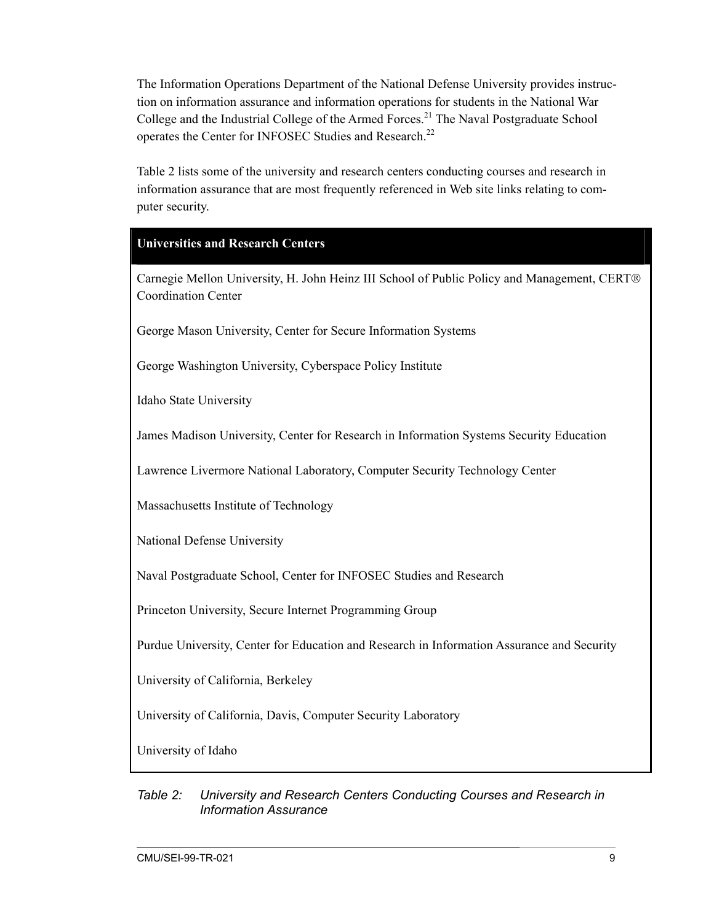<span id="page-18-0"></span>The Information Operations Department of the National Defense University provides instruction on information assurance and information operations for students in the National War College and the Industrial College of the Armed Forces.<sup>[21](#page-30-21)</sup> The Naval Postgraduate School operates the Center for INFOSEC Studies and Research.<sup>[22](#page-30-22)</sup>

Table 2 lists some of the university and research centers conducting courses and research in information assurance that are most frequently referenced in Web site links relating to computer security.

#### **Universities and Research Centers**

Carnegie Mellon University, H. John Heinz III School of Public Policy and Management, CERT Coordination Center

George Mason University, Center for Secure Information Systems

George Washington University, Cyberspace Policy Institute

Idaho State University

James Madison University, Center for Research in Information Systems Security Education

Lawrence Livermore National Laboratory, Computer Security Technology Center

Massachusetts Institute of Technology

National Defense University

Naval Postgraduate School, Center for INFOSEC Studies and Research

Princeton University, Secure Internet Programming Group

Purdue University, Center for Education and Research in Information Assurance and Security

University of California, Berkeley

University of California, Davis, Computer Security Laboratory

University of Idaho

#### *Table 2: University and Research Centers Conducting Courses and Research in Information Assurance*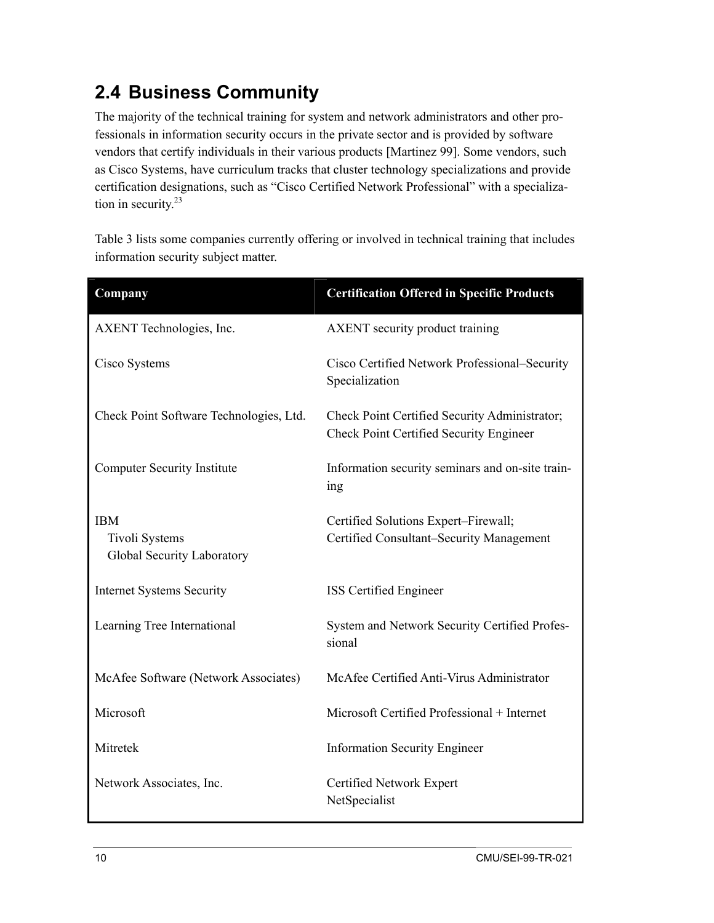## <span id="page-19-0"></span>**2.4 Business Community**

The majority of the technical training for system and network administrators and other professionals in information security occurs in the private sector and is provided by software vendors that certify individuals in their various products [Martinez 99]. Some vendors, such as Cisco Systems, have curriculum tracks that cluster technology specializations and provide certification designations, such as "Cisco Certified Network Professional" with a specialization in security. [23](#page-30-23)

Table 3 lists some companies currently offering or involved in technical training that includes information security subject matter.

| Company                                                           | <b>Certification Offered in Specific Products</b>                                               |
|-------------------------------------------------------------------|-------------------------------------------------------------------------------------------------|
| AXENT Technologies, Inc.                                          | <b>AXENT</b> security product training                                                          |
| Cisco Systems                                                     | Cisco Certified Network Professional–Security<br>Specialization                                 |
| Check Point Software Technologies, Ltd.                           | Check Point Certified Security Administrator;<br><b>Check Point Certified Security Engineer</b> |
| <b>Computer Security Institute</b>                                | Information security seminars and on-site train-<br>ing                                         |
| <b>IBM</b><br><b>Tivoli Systems</b><br>Global Security Laboratory | Certified Solutions Expert-Firewall;<br>Certified Consultant–Security Management                |
| <b>Internet Systems Security</b>                                  | <b>ISS</b> Certified Engineer                                                                   |
| Learning Tree International                                       | System and Network Security Certified Profes-<br>sional                                         |
| McAfee Software (Network Associates)                              | McAfee Certified Anti-Virus Administrator                                                       |
| Microsoft                                                         | Microsoft Certified Professional + Internet                                                     |
| Mitretek                                                          | <b>Information Security Engineer</b>                                                            |
| Network Associates, Inc.                                          | Certified Network Expert<br>NetSpecialist                                                       |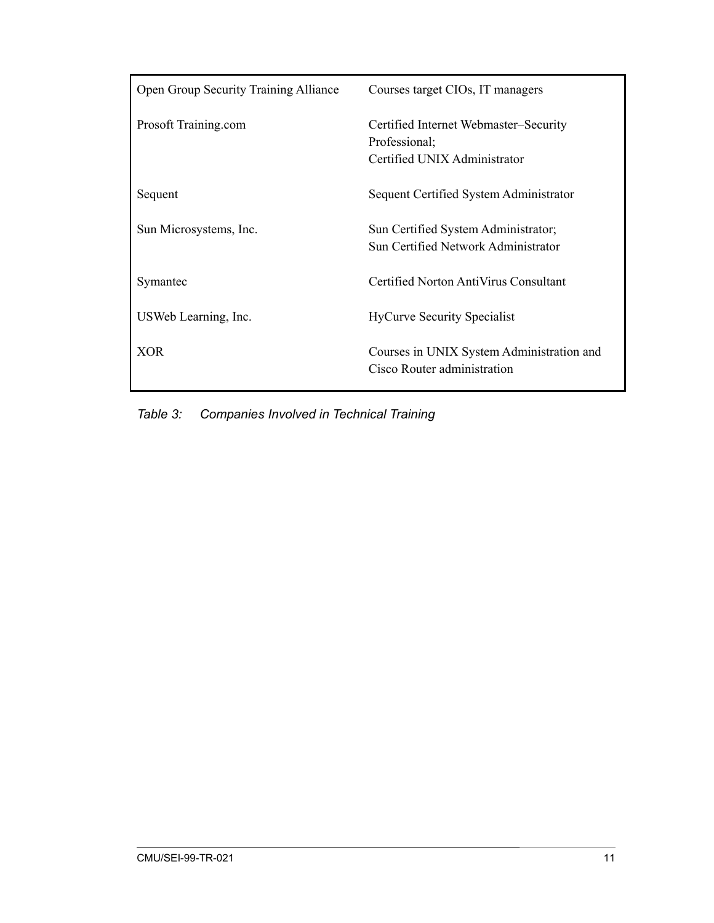<span id="page-20-0"></span>

| <b>Open Group Security Training Alliance</b> | Courses target CIOs, IT managers                                                       |
|----------------------------------------------|----------------------------------------------------------------------------------------|
| Prosoft Training.com                         | Certified Internet Webmaster–Security<br>Professional;<br>Certified UNIX Administrator |
| Sequent                                      | Sequent Certified System Administrator                                                 |
| Sun Microsystems, Inc.                       | Sun Certified System Administrator;<br>Sun Certified Network Administrator             |
| Symantec                                     | Certified Norton AntiVirus Consultant                                                  |
| USWeb Learning, Inc.                         | <b>HyCurve Security Specialist</b>                                                     |
| <b>XOR</b>                                   | Courses in UNIX System Administration and<br>Cisco Router administration               |

*Table 3: Companies Involved in Technical Training*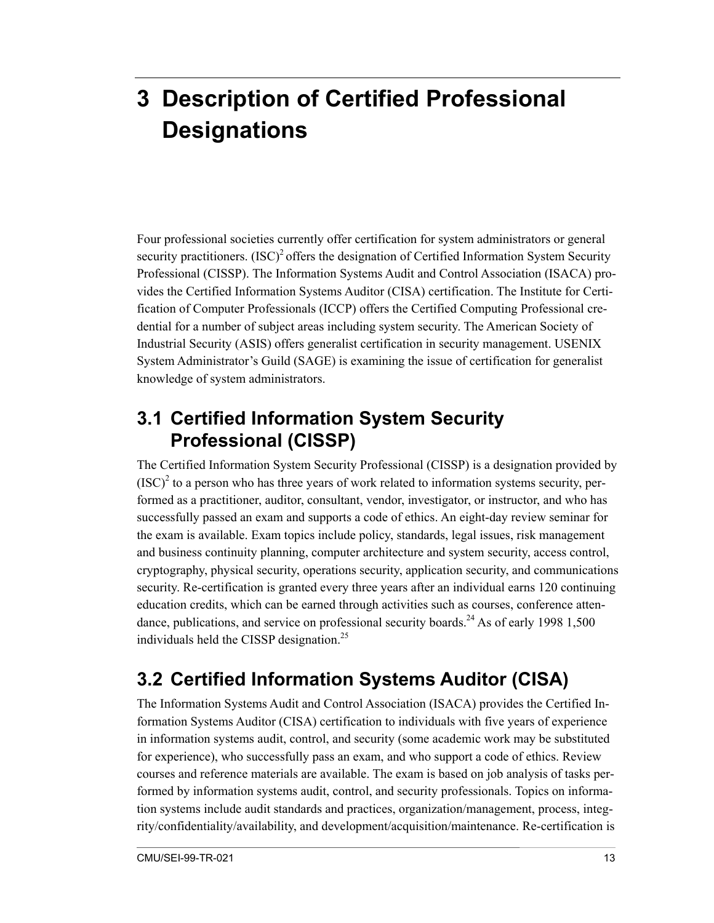# <span id="page-22-0"></span>**3 Description of Certified Professional Designations**

Four professional societies currently offer certification for system administrators or general security practitioners.  $(ISC)^2$  offers the designation of Certified Information System Security Professional (CISSP). The Information Systems Audit and Control Association (ISACA) provides the Certified Information Systems Auditor (CISA) certification. The Institute for Certification of Computer Professionals (ICCP) offers the Certified Computing Professional credential for a number of subject areas including system security. The American Society of Industrial Security (ASIS) offers generalist certification in security management. USENIX System Administrator's Guild (SAGE) is examining the issue of certification for generalist knowledge of system administrators.

### **3.1 Certified Information System Security Professional (CISSP)**

The Certified Information System Security Professional (CISSP) is a designation provided by  ${(ISC)}^2$  to a person who has three years of work related to information systems security, performed as a practitioner, auditor, consultant, vendor, investigator, or instructor, and who has successfully passed an exam and supports a code of ethics. An eight-day review seminar for the exam is available. Exam topics include policy, standards, legal issues, risk management and business continuity planning, computer architecture and system security, access control, cryptography, physical security, operations security, application security, and communications security. Re-certification is granted every three years after an individual earns 120 continuing education credits, which can be earned through activities such as courses, conference attendance, publications, and service on professional security boards.<sup>24</sup> As of early 1998 1,500 individuals held the CISSP designation.<sup>25</sup>

# **3.2 Certified Information Systems Auditor (CISA)**

The Information Systems Audit and Control Association (ISACA) provides the Certified Information Systems Auditor (CISA) certification to individuals with five years of experience in information systems audit, control, and security (some academic work may be substituted for experience), who successfully pass an exam, and who support a code of ethics. Review courses and reference materials are available. The exam is based on job analysis of tasks performed by information systems audit, control, and security professionals. Topics on information systems include audit standards and practices, organization/management, process, integrity/confidentiality/availability, and development/acquisition/maintenance. Re-certification is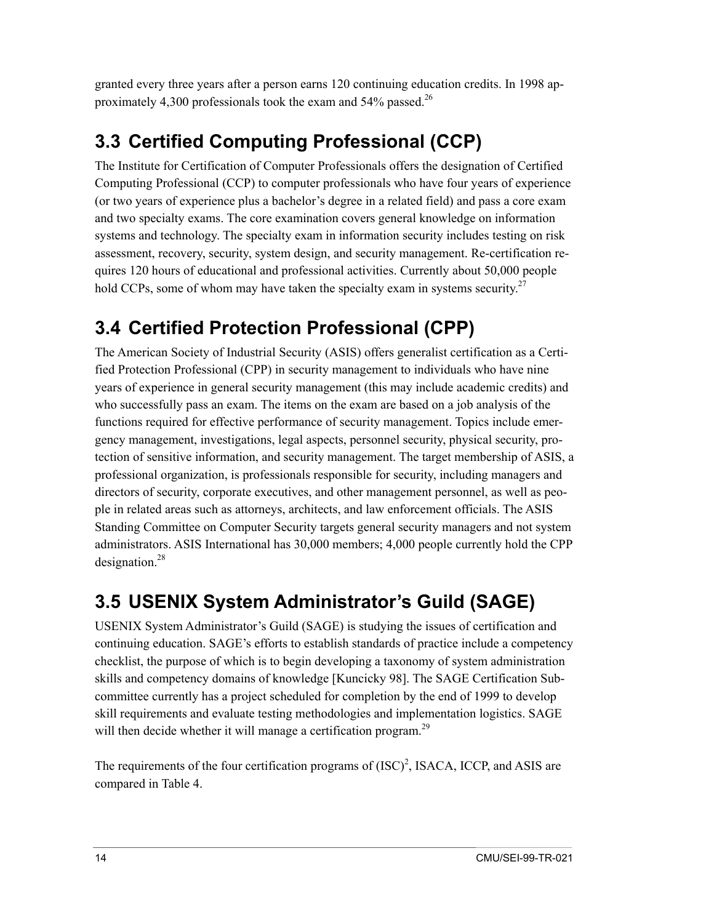<span id="page-23-0"></span>granted every three years after a person earns 120 continuing education credits. In 1998 approximately 4,300 professionals took the exam and 54% passed.<sup>26</sup>

# **3.3 Certified Computing Professional (CCP)**

The Institute for Certification of Computer Professionals offers the designation of Certified Computing Professional (CCP) to computer professionals who have four years of experience (or two years of experience plus a bachelor's degree in a related field) and pass a core exam and two specialty exams. The core examination covers general knowledge on information systems and technology. The specialty exam in information security includes testing on risk assessment, recovery, security, system design, and security management. Re-certification requires 120 hours of educational and professional activities. Currently about 50,000 people hold CCPs, some of whom may have taken the specialty exam in systems security.<sup>27</sup>

## **3.4 Certified Protection Professional (CPP)**

The American Society of Industrial Security (ASIS) offers generalist certification as a Certified Protection Professional (CPP) in security management to individuals who have nine years of experience in general security management (this may include academic credits) and who successfully pass an exam. The items on the exam are based on a job analysis of the functions required for effective performance of security management. Topics include emergency management, investigations, legal aspects, personnel security, physical security, protection of sensitive information, and security management. The target membership of ASIS, a professional organization, is professionals responsible for security, including managers and directors of security, corporate executives, and other management personnel, as well as people in related areas such as attorneys, architects, and law enforcement officials. The ASIS Standing Committee on Computer Security targets general security managers and not system administrators. ASIS International has 30,000 members; 4,000 people currently hold the CPP designation. $^{28}$ 

# **3.5 USENIX System Administrator's Guild (SAGE)**

USENIX System Administrator's Guild (SAGE) is studying the issues of certification and continuing education. SAGE's efforts to establish standards of practice include a competency checklist, the purpose of which is to begin developing a taxonomy of system administration skills and competency domains of knowledge [Kuncicky 98]. The SAGE Certification Subcommittee currently has a project scheduled for completion by the end of 1999 to develop skill requirements and evaluate testing methodologies and implementation logistics. SAGE will then decide whether it will manage a certification program.<sup>[29](#page-30-29)</sup>

The requirements of the four certification programs of  $(ISC)^2$ , ISACA, ICCP, and ASIS are compared in Table 4.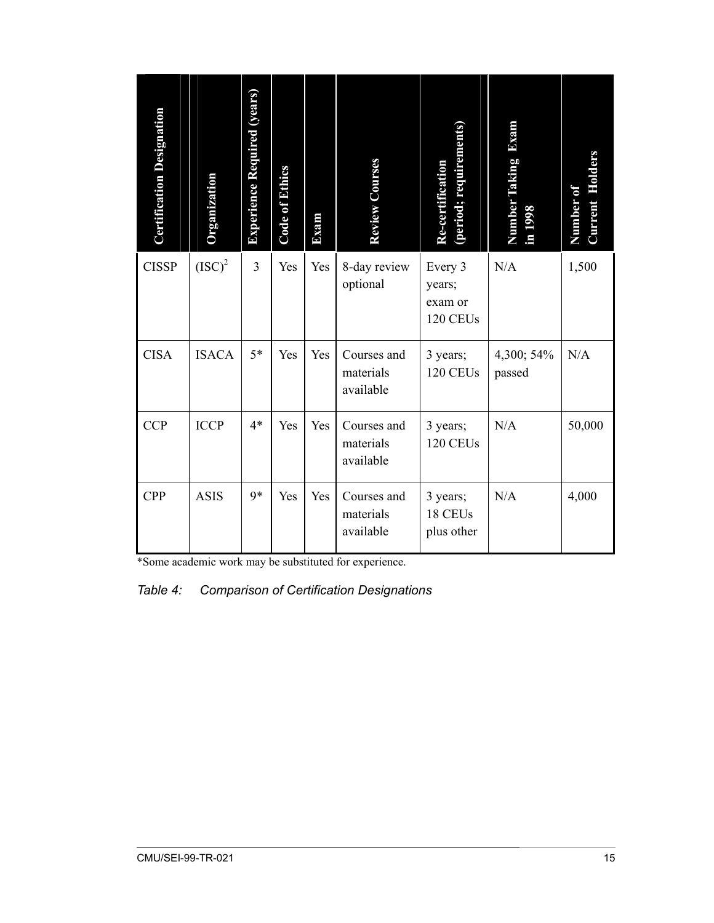<span id="page-24-0"></span>

| <b>Certification Designation</b> | <b>Organization</b> | <b>Experience Required (years)</b> | <b>Code of Ethics</b> | Exam | <b>Review Courses</b>                 | (period; requirements)<br>Re-certification | Exam<br>Number Taking<br>in 1998 | <b>Current Holders</b><br>Number of |
|----------------------------------|---------------------|------------------------------------|-----------------------|------|---------------------------------------|--------------------------------------------|----------------------------------|-------------------------------------|
| <b>CISSP</b>                     | $(ISC)^2$           | 3                                  | Yes                   | Yes  | 8-day review<br>optional              | Every 3<br>years;<br>exam or<br>120 CEUs   | N/A                              | 1,500                               |
| <b>CISA</b>                      | <b>ISACA</b>        | $5*$                               | Yes                   | Yes  | Courses and<br>materials<br>available | 3 years;<br>120 CEUs                       | 4,300; 54%<br>passed             | N/A                                 |
| <b>CCP</b>                       | <b>ICCP</b>         | $4*$                               | Yes                   | Yes  | Courses and<br>materials<br>available | 3 years;<br>120 CEUs                       | N/A                              | 50,000                              |
| <b>CPP</b>                       | <b>ASIS</b>         | 9*                                 | Yes                   | Yes  | Courses and<br>materials<br>available | 3 years;<br>18 CEUs<br>plus other          | N/A                              | 4,000                               |

\*Some academic work may be substituted for experience.

*Table 4: Comparison of Certification Designations*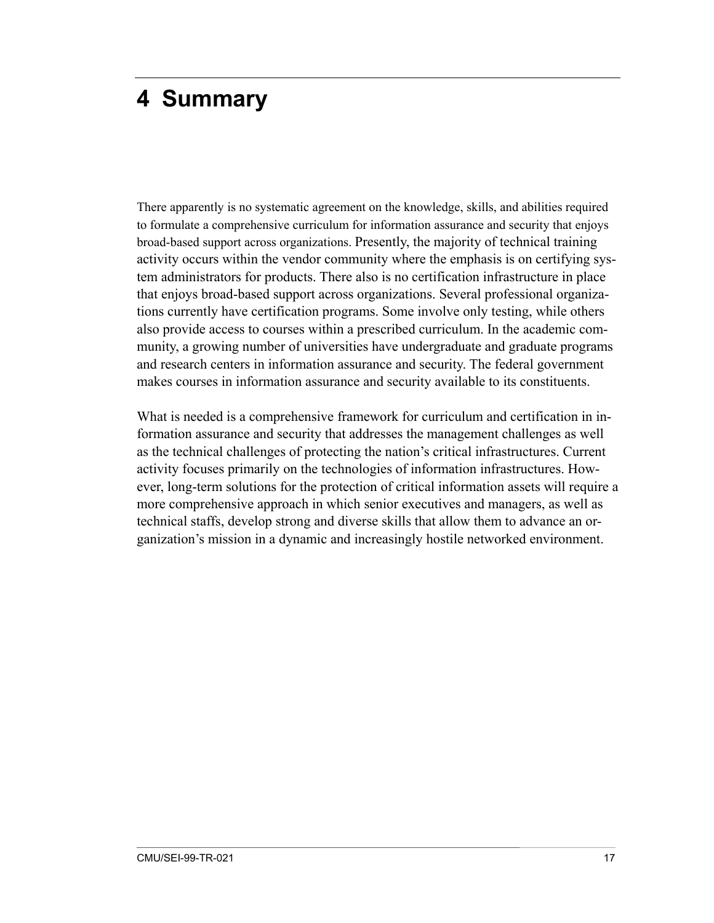# <span id="page-26-0"></span>**4 Summary**

There apparently is no systematic agreement on the knowledge, skills, and abilities required to formulate a comprehensive curriculum for information assurance and security that enjoys broad-based support across organizations. Presently, the majority of technical training activity occurs within the vendor community where the emphasis is on certifying system administrators for products. There also is no certification infrastructure in place that enjoys broad-based support across organizations. Several professional organizations currently have certification programs. Some involve only testing, while others also provide access to courses within a prescribed curriculum. In the academic community, a growing number of universities have undergraduate and graduate programs and research centers in information assurance and security. The federal government makes courses in information assurance and security available to its constituents.

What is needed is a comprehensive framework for curriculum and certification in information assurance and security that addresses the management challenges as well as the technical challenges of protecting the nation's critical infrastructures. Current activity focuses primarily on the technologies of information infrastructures. However, long-term solutions for the protection of critical information assets will require a more comprehensive approach in which senior executives and managers, as well as technical staffs, develop strong and diverse skills that allow them to advance an organization's mission in a dynamic and increasingly hostile networked environment.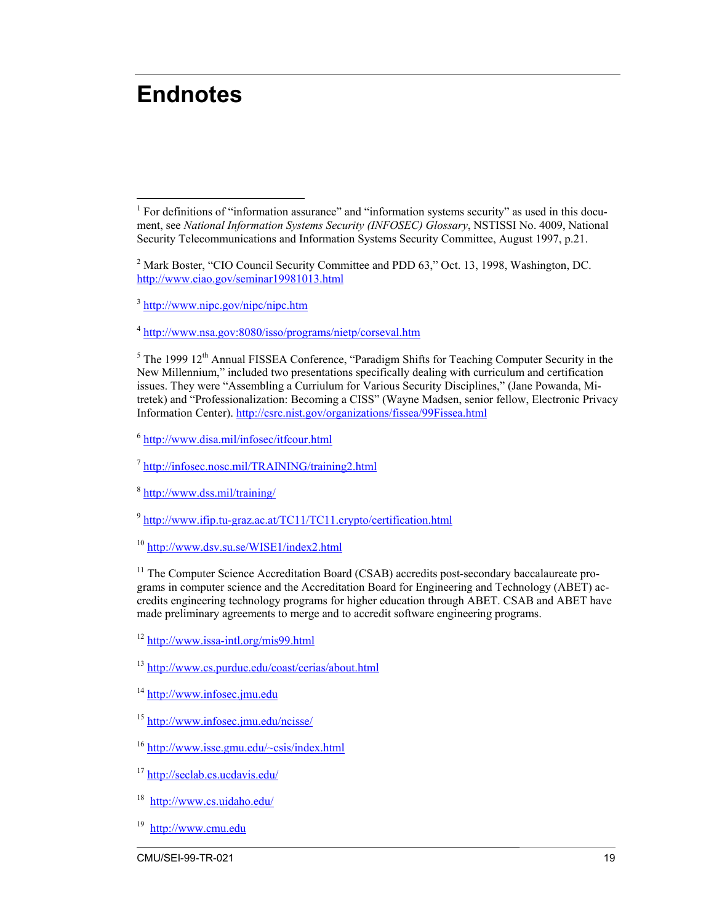# <span id="page-28-0"></span>**Endnotes**

<sup>3</sup> <http://www.nipc.gov/nipc/nipc.htm>

<sup>4</sup> <http://www.nsa.gov:8080/isso/programs/nietp/corseval.htm>

 $<sup>5</sup>$  The 1999 12<sup>th</sup> Annual FISSEA Conference, "Paradigm Shifts for Teaching Computer Security in the</sup> New Millennium," included two presentations specifically dealing with curriculum and certification issues. They were "Assembling a Curriulum for Various Security Disciplines," (Jane Powanda, Mitretek) and "Professionalization: Becoming a CISS" (Wayne Madsen, senior fellow, Electronic Privacy Information Center). <http://csrc.nist.gov/organizations/fissea/99Fissea.html>

<sup>6</sup> <http://www.disa.mil/infosec/itfcour.html>

<sup>7</sup> <http://infosec.nosc.mil/TRAINING/training2.html>

<sup>8</sup> <http://www.dss.mil/training/>

<sup>9</sup> <http://www.ifip.tu-graz.ac.at/TC11/TC11.crypto/certification.html>

<sup>10</sup> <http://www.dsv.su.se/WISE1/index2.html>

<sup>11</sup> The Computer Science Accreditation Board (CSAB) accredits post-secondary baccalaureate programs in computer science and the Accreditation Board for Engineering and Technology (ABET) accredits engineering technology programs for higher education through ABET. CSAB and ABET have made preliminary agreements to merge and to accredit software engineering programs.

<sup>12</sup> <http://www.issa-intl.org/mis99.html>

<sup>13</sup> <http://www.cs.purdue.edu/coast/cerias/about.html>

<sup>14</sup> [http://www.infosec.jmu.edu](http://www.infosec.jmu.edu/)

<sup>15</sup> <http://www.infosec.jmu.edu/ncisse/>

<sup>16</sup> <http://www.isse.gmu.edu/~csis/index.html>

<sup>17</sup> <http://seclab.cs.ucdavis.edu/>

18 <http://www.cs.uidaho.edu/>

19 [http://www.cmu.edu](http://www.cmu.edu/)

<sup>&</sup>lt;u>.</u> <sup>1</sup> For definitions of "information assurance" and "information systems security" as used in this document, see *National Information Systems Security (INFOSEC) Glossary*, NSTISSI No. 4009, National Security Telecommunications and Information Systems Security Committee, August 1997, p.21.

<sup>&</sup>lt;sup>2</sup> Mark Boster, "CIO Council Security Committee and PDD 63," Oct. 13, 1998, Washington, DC. <http://www.ciao.gov/seminar19981013.html>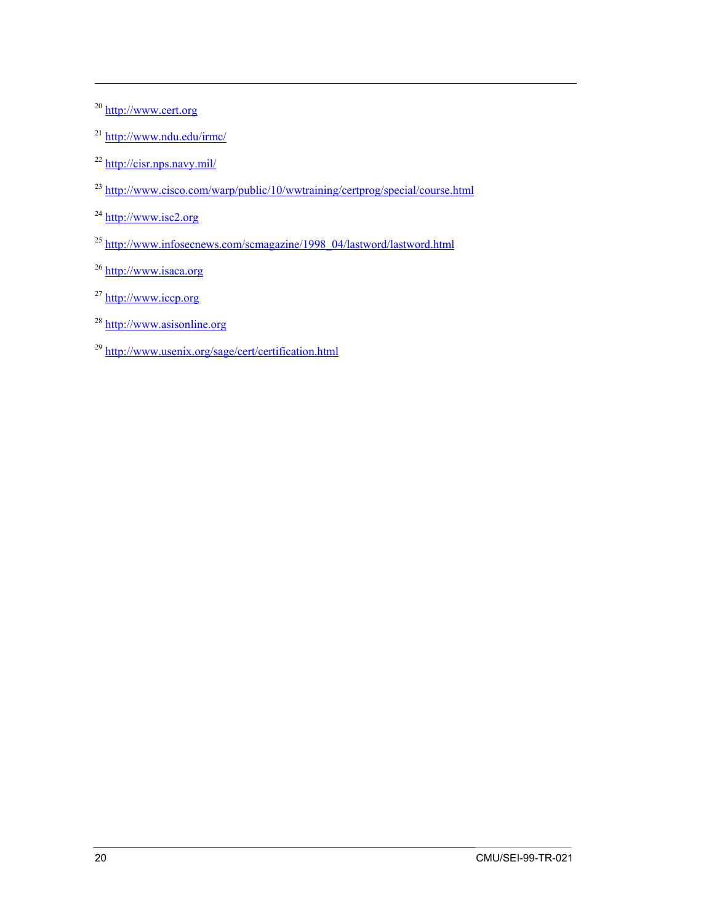<sup>20</sup> [http://www.cert.org](http://www.cert.org/)

1

- <sup>21</sup> <http://www.ndu.edu/irmc/>
- <sup>22</sup> <http://cisr.nps.navy.mil/>
- <sup>23</sup> <http://www.cisco.com/warp/public/10/wwtraining/certprog/special/course.html>
- $^{24}$  [http://www.isc2.org](http://www.isc2.org/)
- <sup>25</sup> [http://www.infosecnews.com/scmagazine/1998\\_04/lastword/lastword.html](http://www.infosecnews.com/scmagazine/1998_04/lastword/lastword.html)
- <sup>26</sup> [http://www.isaca.org](http://www.isaca.org/)
- <sup>27</sup> [http://www.iccp.org](http://www.iccp.org/)
- <sup>28</sup> [http://www.asisonline.org](http://www.asisonline.org/)
- <sup>29</sup> <http://www.usenix.org/sage/cert/certification.html>